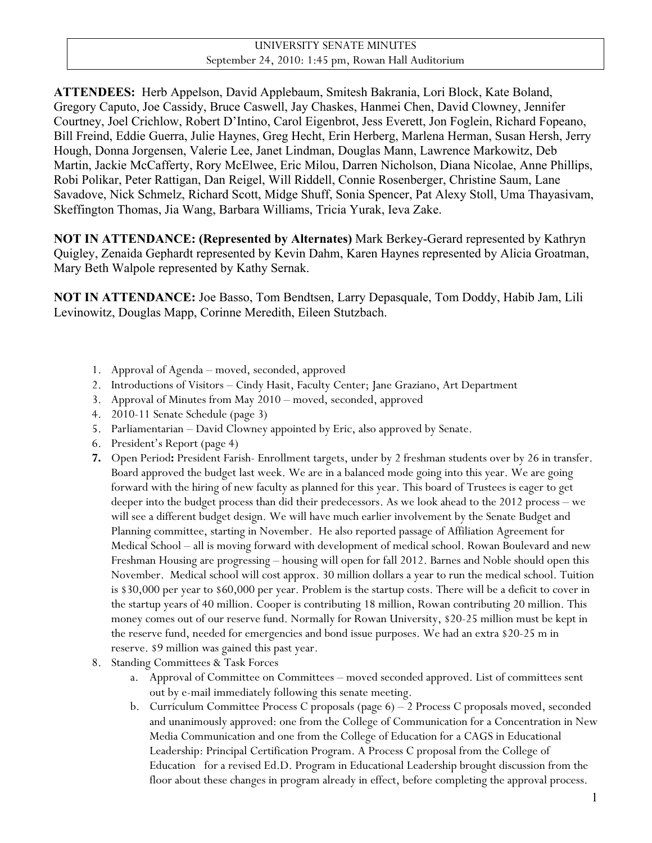| UNIVERSITY SENATE MINUTES                          |
|----------------------------------------------------|
| September 24, 2010: 1:45 pm, Rowan Hall Auditorium |

**ATTENDEES:** Herb Appelson, David Applebaum, Smitesh Bakrania, Lori Block, Kate Boland, Gregory Caputo, Joe Cassidy, Bruce Caswell, Jay Chaskes, Hanmei Chen, David Clowney, Jennifer Courtney, Joel Crichlow, Robert D'Intino, Carol Eigenbrot, Jess Everett, Jon Foglein, Richard Fopeano, Bill Freind, Eddie Guerra, Julie Haynes, Greg Hecht, Erin Herberg, Marlena Herman, Susan Hersh, Jerry Hough, Donna Jorgensen, Valerie Lee, Janet Lindman, Douglas Mann, Lawrence Markowitz, Deb Martin, Jackie McCafferty, Rory McElwee, Eric Milou, Darren Nicholson, Diana Nicolae, Anne Phillips, Robi Polikar, Peter Rattigan, Dan Reigel, Will Riddell, Connie Rosenberger, Christine Saum, Lane Savadove, Nick Schmelz, Richard Scott, Midge Shuff, Sonia Spencer, Pat Alexy Stoll, Uma Thayasivam, Skeffington Thomas, Jia Wang, Barbara Williams, Tricia Yurak, Ieva Zake.

**NOT IN ATTENDANCE: (Represented by Alternates)** Mark Berkey-Gerard represented by Kathryn Quigley, Zenaida Gephardt represented by Kevin Dahm, Karen Haynes represented by Alicia Groatman, Mary Beth Walpole represented by Kathy Sernak.

**NOT IN ATTENDANCE:** Joe Basso, Tom Bendtsen, Larry Depasquale, Tom Doddy, Habib Jam, Lili Levinowitz, Douglas Mapp, Corinne Meredith, Eileen Stutzbach.

- 1. Approval of Agenda moved, seconded, approved
- 2. Introductions of Visitors Cindy Hasit, Faculty Center; Jane Graziano, Art Department
- 3. Approval of Minutes from May 2010 moved, seconded, approved
- 4. 2010-11 Senate Schedule (page 3)
- 5. Parliamentarian David Clowney appointed by Eric, also approved by Senate.
- 6. President's Report (page 4)
- **7.** Open Period**:** President Farish- Enrollment targets, under by 2 freshman students over by 26 in transfer. Board approved the budget last week. We are in a balanced mode going into this year. We are going forward with the hiring of new faculty as planned for this year. This board of Trustees is eager to get deeper into the budget process than did their predecessors. As we look ahead to the 2012 process – we will see a different budget design. We will have much earlier involvement by the Senate Budget and Planning committee, starting in November. He also reported passage of Affiliation Agreement for Medical School – all is moving forward with development of medical school. Rowan Boulevard and new Freshman Housing are progressing – housing will open for fall 2012. Barnes and Noble should open this November. Medical school will cost approx. 30 million dollars a year to run the medical school. Tuition is \$30,000 per year to \$60,000 per year. Problem is the startup costs. There will be a deficit to cover in the startup years of 40 million. Cooper is contributing 18 million, Rowan contributing 20 million. This money comes out of our reserve fund. Normally for Rowan University, \$20-25 million must be kept in the reserve fund, needed for emergencies and bond issue purposes. We had an extra \$20-25 m in reserve. \$9 million was gained this past year.
- 8. Standing Committees & Task Forces
	- a. Approval of Committee on Committees moved seconded approved. List of committees sent out by e-mail immediately following this senate meeting.
	- b. Curriculum Committee Process C proposals (page 6) 2 Process C proposals moved, seconded and unanimously approved: one from the College of Communication for a Concentration in New Media Communication and one from the College of Education for a CAGS in Educational Leadership: Principal Certification Program. A Process C proposal from the College of Education for a revised Ed.D. Program in Educational Leadership brought discussion from the floor about these changes in program already in effect, before completing the approval process.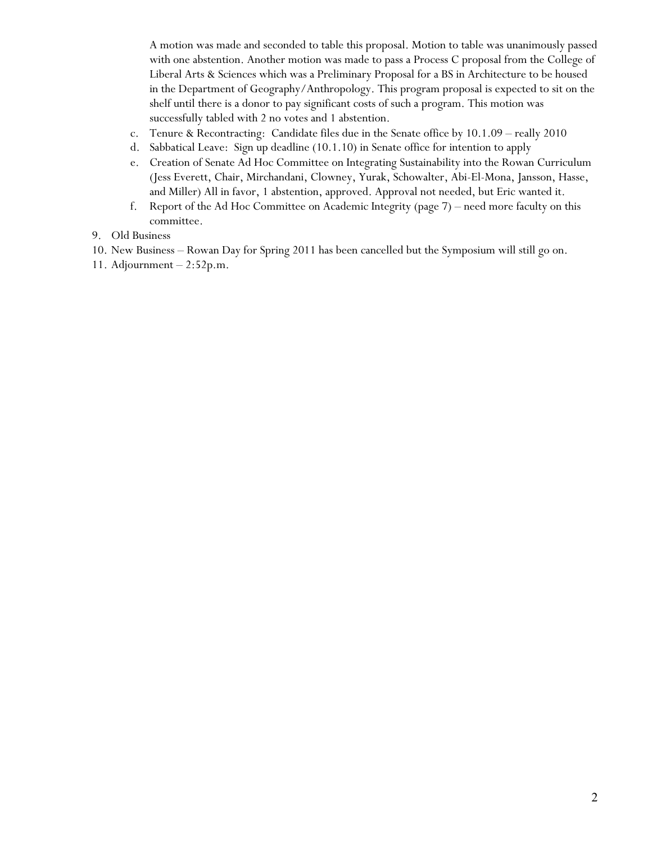A motion was made and seconded to table this proposal. Motion to table was unanimously passed with one abstention. Another motion was made to pass a Process C proposal from the College of Liberal Arts & Sciences which was a Preliminary Proposal for a BS in Architecture to be housed in the Department of Geography/Anthropology. This program proposal is expected to sit on the shelf until there is a donor to pay significant costs of such a program. This motion was successfully tabled with 2 no votes and 1 abstention.

- c. Tenure & Recontracting: Candidate files due in the Senate office by 10.1.09 really 2010
- d. Sabbatical Leave: Sign up deadline (10.1.10) in Senate office for intention to apply
- e. Creation of Senate Ad Hoc Committee on Integrating Sustainability into the Rowan Curriculum (Jess Everett, Chair, Mirchandani, Clowney, Yurak, Schowalter, Abi-El-Mona, Jansson, Hasse, and Miller) All in favor, 1 abstention, approved. Approval not needed, but Eric wanted it.
- f. Report of the Ad Hoc Committee on Academic Integrity (page 7) need more faculty on this committee.
- 9. Old Business
- 10. New Business Rowan Day for Spring 2011 has been cancelled but the Symposium will still go on.
- 11. Adjournment 2:52p.m.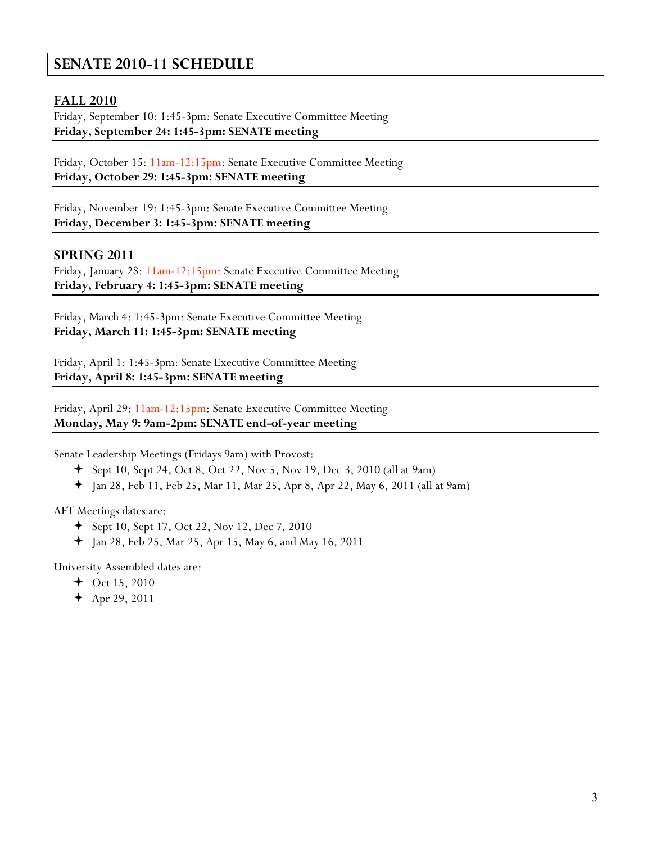# **SENATE 2010-11 SCHEDULE**

# **FALL 2010**

Friday, September 10: 1:45-3pm: Senate Executive Committee Meeting **Friday, September 24: 1:45-3pm: SENATE meeting**

Friday, October 15: 11am-12:15pm: Senate Executive Committee Meeting **Friday, October 29: 1:45-3pm: SENATE meeting**

Friday, November 19: 1:45-3pm: Senate Executive Committee Meeting **Friday, December 3: 1:45-3pm: SENATE meeting**

## **SPRING 2011**

Friday, January 28: 11am-12:15pm: Senate Executive Committee Meeting **Friday, February 4: 1:45-3pm: SENATE meeting**

Friday, March 4: 1:45-3pm: Senate Executive Committee Meeting **Friday, March 11: 1:45-3pm: SENATE meeting**

Friday, April 1: 1:45-3pm: Senate Executive Committee Meeting **Friday, April 8: 1:45-3pm: SENATE meeting**

Friday, April 29: 11am-12:15pm: Senate Executive Committee Meeting **Monday, May 9: 9am-2pm: SENATE end-of-year meeting**

Senate Leadership Meetings (Fridays 9am) with Provost:

- $\div$  Sept 10, Sept 24, Oct 8, Oct 22, Nov 5, Nov 19, Dec 3, 2010 (all at 9am)
- $\div$  Jan 28, Feb 11, Feb 25, Mar 11, Mar 25, Apr 8, Apr 22, May 6, 2011 (all at 9am)

AFT Meetings dates are:

- Sept 10, Sept 17, Oct 22, Nov 12, Dec 7, 2010
- $+$  Jan 28, Feb 25, Mar 25, Apr 15, May 6, and May 16, 2011

University Assembled dates are:

- $\div$  Oct 15, 2010
- $+$  Apr 29, 2011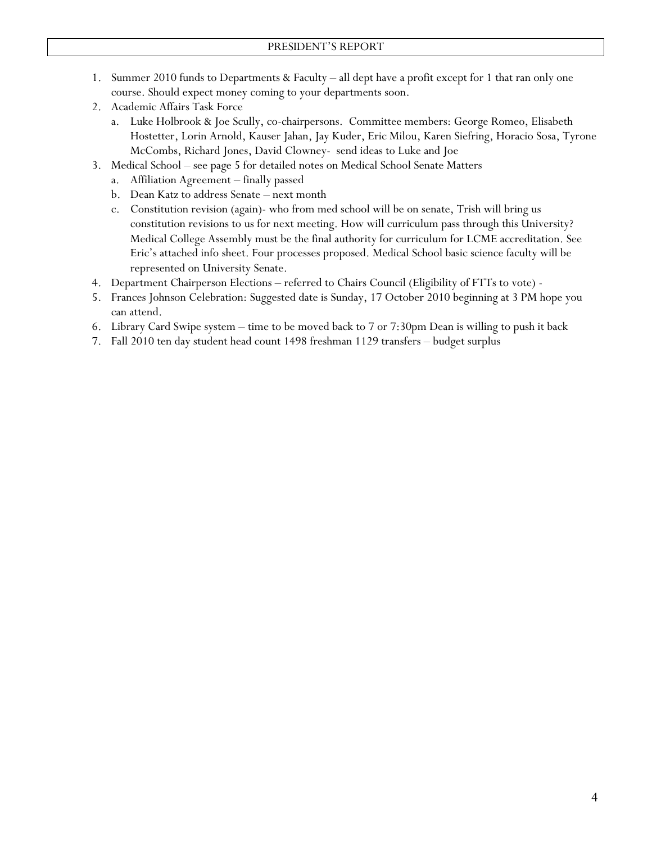- 1. Summer 2010 funds to Departments & Faculty all dept have a profit except for 1 that ran only one course. Should expect money coming to your departments soon.
- 2. Academic Affairs Task Force
	- a. Luke Holbrook & Joe Scully, co-chairpersons. Committee members: George Romeo, Elisabeth Hostetter, Lorin Arnold, Kauser Jahan, Jay Kuder, Eric Milou, Karen Siefring, Horacio Sosa, Tyrone McCombs, Richard Jones, David Clowney- send ideas to Luke and Joe
- 3. Medical School see page 5 for detailed notes on Medical School Senate Matters
	- a. Affiliation Agreement finally passed
	- b. Dean Katz to address Senate next month
	- c. Constitution revision (again)- who from med school will be on senate, Trish will bring us constitution revisions to us for next meeting. How will curriculum pass through this University? Medical College Assembly must be the final authority for curriculum for LCME accreditation. See Eric's attached info sheet. Four processes proposed. Medical School basic science faculty will be represented on University Senate.
- 4. Department Chairperson Elections referred to Chairs Council (Eligibility of FTTs to vote) -
- 5. Frances Johnson Celebration: Suggested date is Sunday, 17 October 2010 beginning at 3 PM hope you can attend.
- 6. Library Card Swipe system time to be moved back to 7 or 7:30pm Dean is willing to push it back
- 7. Fall 2010 ten day student head count 1498 freshman 1129 transfers budget surplus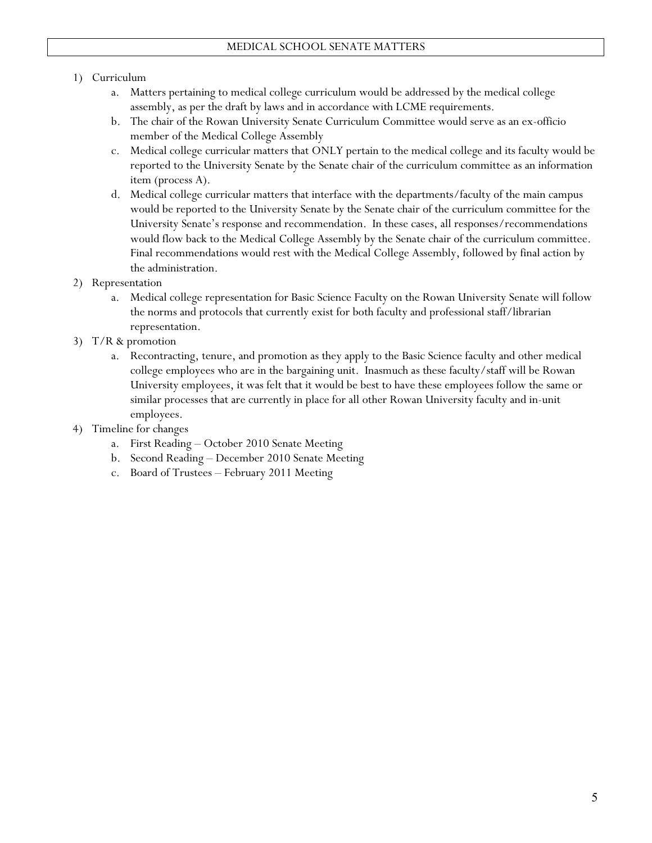#### 1) Curriculum

- a. Matters pertaining to medical college curriculum would be addressed by the medical college assembly, as per the draft by laws and in accordance with LCME requirements.
- b. The chair of the Rowan University Senate Curriculum Committee would serve as an ex-officio member of the Medical College Assembly
- c. Medical college curricular matters that ONLY pertain to the medical college and its faculty would be reported to the University Senate by the Senate chair of the curriculum committee as an information item (process A).
- d. Medical college curricular matters that interface with the departments/faculty of the main campus would be reported to the University Senate by the Senate chair of the curriculum committee for the University Senate's response and recommendation. In these cases, all responses/recommendations would flow back to the Medical College Assembly by the Senate chair of the curriculum committee. Final recommendations would rest with the Medical College Assembly, followed by final action by the administration.
- 2) Representation
	- a. Medical college representation for Basic Science Faculty on the Rowan University Senate will follow the norms and protocols that currently exist for both faculty and professional staff/librarian representation.
- 3) T/R & promotion
	- a. Recontracting, tenure, and promotion as they apply to the Basic Science faculty and other medical college employees who are in the bargaining unit. Inasmuch as these faculty/staff will be Rowan University employees, it was felt that it would be best to have these employees follow the same or similar processes that are currently in place for all other Rowan University faculty and in-unit employees.
- 4) Timeline for changes
	- a. First Reading October 2010 Senate Meeting
	- b. Second Reading December 2010 Senate Meeting
	- c. Board of Trustees February 2011 Meeting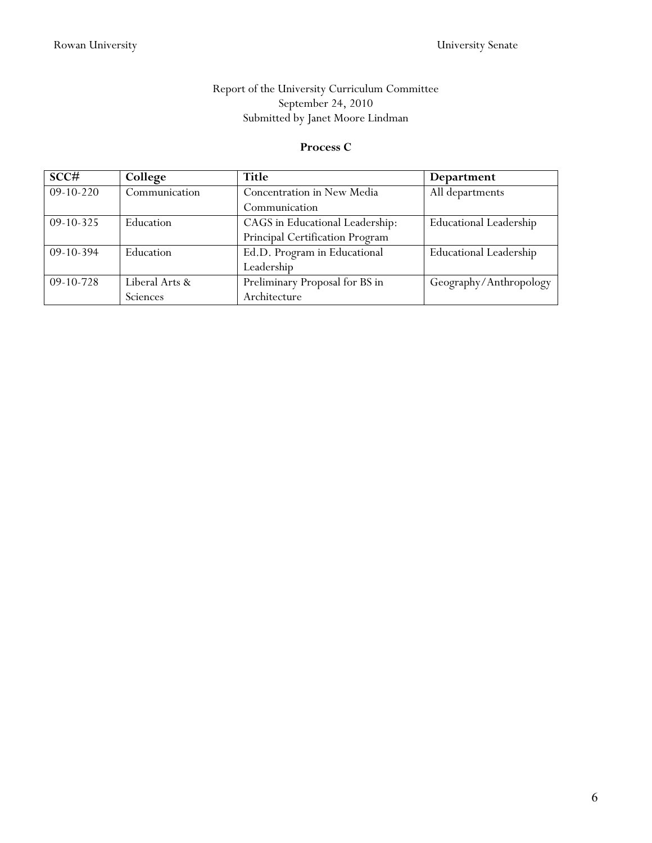# Report of the University Curriculum Committee September 24, 2010 Submitted by Janet Moore Lindman

#### **Process C**

| SCC#        | College          | Title                           | Department                    |
|-------------|------------------|---------------------------------|-------------------------------|
| $09-10-220$ | Communication    | Concentration in New Media      | All departments               |
|             |                  | Communication                   |                               |
| $09-10-325$ | Education        | CAGS in Educational Leadership: | <b>Educational Leadership</b> |
|             |                  | Principal Certification Program |                               |
| $09-10-394$ | <b>Education</b> | Ed.D. Program in Educational    | <b>Educational Leadership</b> |
|             |                  | Leadership                      |                               |
| $09-10-728$ | Liberal Arts &   | Preliminary Proposal for BS in  | Geography/Anthropology        |
|             | Sciences         | Architecture                    |                               |